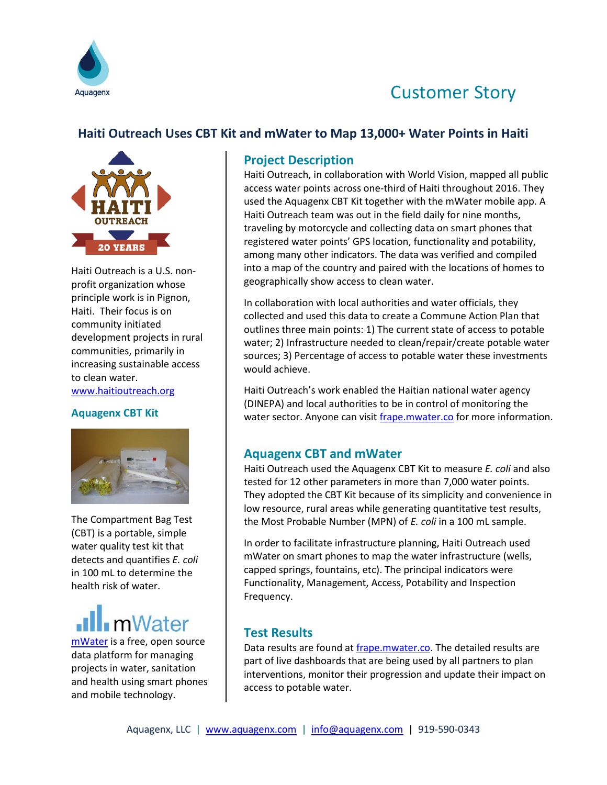

## Customer Story

### **Haiti Outreach Uses CBT Kit and mWater to Map 13,000+ Water Points in Haiti**



Haiti Outreach is a U.S. nonprofit organization whose principle work is in Pignon, Haiti. Their focus is on community initiated development projects in rural communities, primarily in increasing sustainable access to clean water. <www.haitioutreach.org>

#### **Aquagenx CBT Kit**



The Compartment Bag Test (CBT) is a portable, simple water quality test kit that detects and quantifies *E. coli* in 100 mL to determine the health risk of water.

# **ill** mWater

[mWater](http://www.mwater.co/) is a free, open source data platform for managing projects in water, sanitation and health using smart phones and mobile technology.

#### **Project Description**

Haiti Outreach, in collaboration with World Vision, mapped all public access water points across one-third of Haiti throughout 2016. They used the Aquagenx CBT Kit together with the mWater mobile app. A Haiti Outreach team was out in the field daily for nine months, traveling by motorcycle and collecting data on smart phones that registered water points' GPS location, functionality and potability, among many other indicators. The data was verified and compiled into a map of the country and paired with the locations of homes to geographically show access to clean water.

In collaboration with local authorities and water officials, they collected and used this data to create a Commune Action Plan that outlines three main points: 1) The current state of access to potable water; 2) Infrastructure needed to clean/repair/create potable water sources; 3) Percentage of access to potable water these investments would achieve.

Haiti Outreach's work enabled the Haitian national water agency (DINEPA) and local authorities to be in control of monitoring the water sector. Anyone can visit *frape.mwater.co* for more information.

#### **Aquagenx CBT and mWater**

Haiti Outreach used the Aquagenx CBT Kit to measure *E. coli* and also tested for 12 other parameters in more than 7,000 water points. They adopted the CBT Kit because of its simplicity and convenience in low resource, rural areas while generating quantitative test results, the Most Probable Number (MPN) of *E. coli* in a 100 mL sample.

In order to facilitate infrastructure planning, Haiti Outreach used mWater on smart phones to map the water infrastructure (wells, capped springs, fountains, etc). The principal indicators were Functionality, Management, Access, Potability and Inspection Frequency.

#### **Test Results**

Data results are found a[t frape.mwater.co.](frape.mwater.co) The detailed results are part of live dashboards that are being used by all partners to plan interventions, monitor their progression and update their impact on access to potable water.